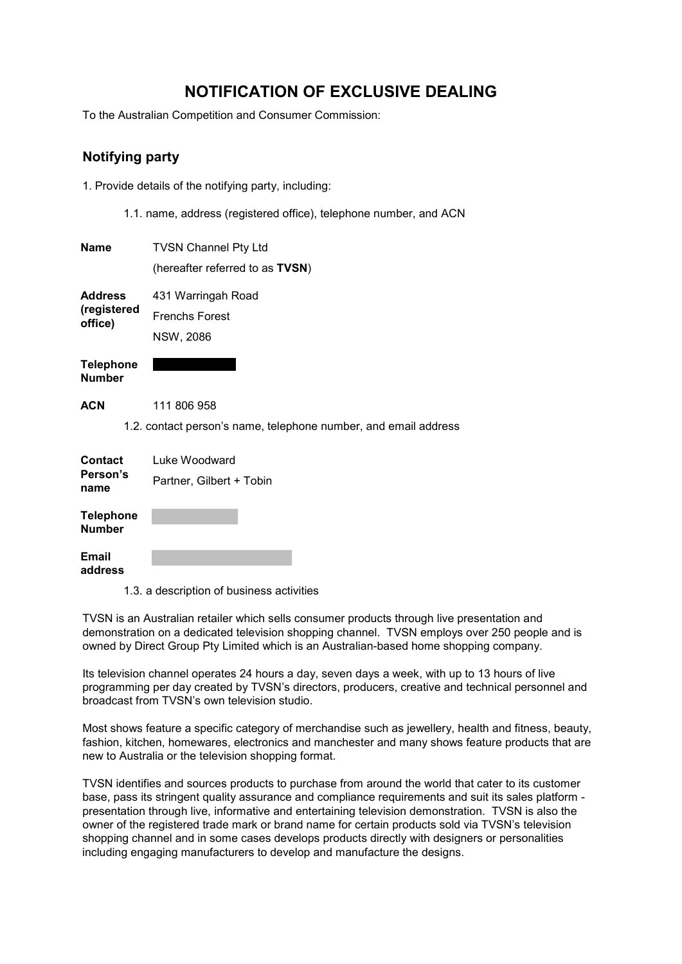# **NOTIFICATION OF EXCLUSIVE DEALING**

To the Australian Competition and Consumer Commission:

### **Notifying party**

1. Provide details of the notifying party, including:

1.1. name, address (registered office), telephone number, and ACN

| <b>Name</b>                              | <b>TVSN Channel Pty Ltd</b>                                     |
|------------------------------------------|-----------------------------------------------------------------|
|                                          | (hereafter referred to as TVSN)                                 |
| <b>Address</b><br>(registered<br>office) | 431 Warringah Road                                              |
|                                          | <b>Frenchs Forest</b>                                           |
|                                          | NSW, 2086                                                       |
| <b>Telephone</b><br><b>Number</b>        |                                                                 |
| <b>ACN</b>                               | 111 806 958                                                     |
|                                          | 1.2. contact person's name, telephone number, and email address |
| <b>Contact</b><br>Person's<br>name       | Luke Woodward                                                   |
|                                          | Partner, Gilbert + Tobin                                        |
| <b>Telephone</b><br><b>Number</b>        |                                                                 |
| <b>Email</b><br>address                  |                                                                 |

1.3. a description of business activities

TVSN is an Australian retailer which sells consumer products through live presentation and demonstration on a dedicated television shopping channel. TVSN employs over 250 people and is owned by Direct Group Pty Limited which is an Australian-based home shopping company.

Its television channel operates 24 hours a day, seven days a week, with up to 13 hours of live programming per day created by TVSN's directors, producers, creative and technical personnel and broadcast from TVSN's own television studio.

Most shows feature a specific category of merchandise such as jewellery, health and fitness, beauty, fashion, kitchen, homewares, electronics and manchester and many shows feature products that are new to Australia or the television shopping format.

TVSN identifies and sources products to purchase from around the world that cater to its customer base, pass its stringent quality assurance and compliance requirements and suit its sales platform presentation through live, informative and entertaining television demonstration. TVSN is also the owner of the registered trade mark or brand name for certain products sold via TVSN's television shopping channel and in some cases develops products directly with designers or personalities including engaging manufacturers to develop and manufacture the designs.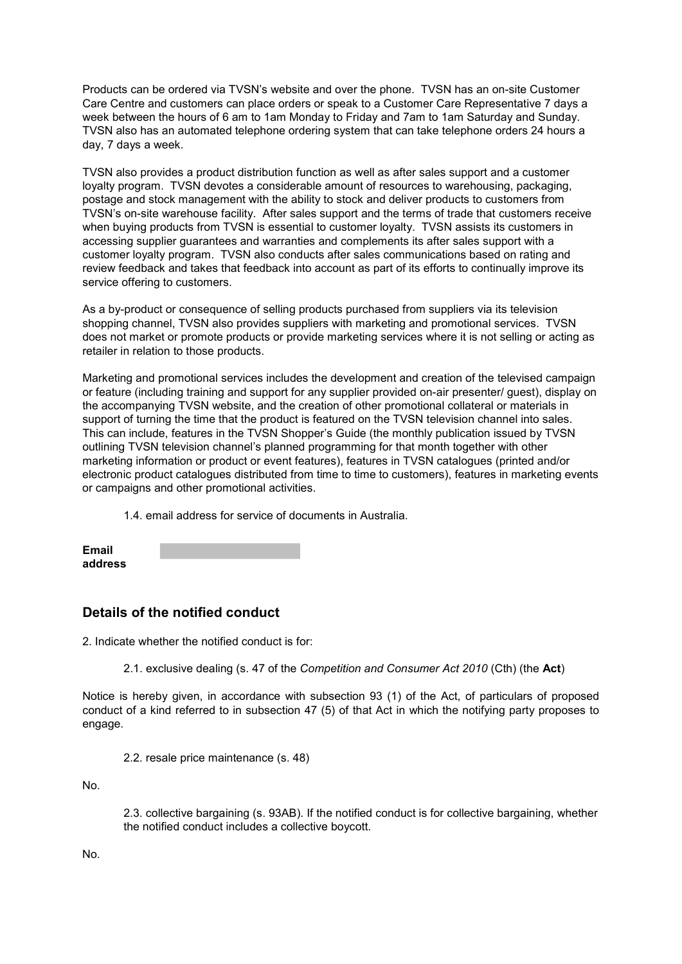Products can be ordered via TVSN's website and over the phone. TVSN has an on-site Customer Care Centre and customers can place orders or speak to a Customer Care Representative 7 days a week between the hours of 6 am to 1am Monday to Friday and 7am to 1am Saturday and Sunday. TVSN also has an automated telephone ordering system that can take telephone orders 24 hours a day, 7 days a week.

TVSN also provides a product distribution function as well as after sales support and a customer loyalty program. TVSN devotes a considerable amount of resources to warehousing, packaging, postage and stock management with the ability to stock and deliver products to customers from TVSN's on-site warehouse facility. After sales support and the terms of trade that customers receive when buying products from TVSN is essential to customer loyalty. TVSN assists its customers in accessing supplier guarantees and warranties and complements its after sales support with a customer loyalty program. TVSN also conducts after sales communications based on rating and review feedback and takes that feedback into account as part of its efforts to continually improve its service offering to customers.

As a by-product or consequence of selling products purchased from suppliers via its television shopping channel, TVSN also provides suppliers with marketing and promotional services. TVSN does not market or promote products or provide marketing services where it is not selling or acting as retailer in relation to those products.

Marketing and promotional services includes the development and creation of the televised campaign or feature (including training and support for any supplier provided on-air presenter/ guest), display on the accompanying TVSN website, and the creation of other promotional collateral or materials in support of turning the time that the product is featured on the TVSN television channel into sales. This can include, features in the TVSN Shopper's Guide (the monthly publication issued by TVSN outlining TVSN television channel's planned programming for that month together with other marketing information or product or event features), features in TVSN catalogues (printed and/or electronic product catalogues distributed from time to time to customers), features in marketing events or campaigns and other promotional activities.

1.4. email address for service of documents in Australia.

| <b>Email</b> |  |
|--------------|--|
| address      |  |

### **Details of the notified conduct**

2. Indicate whether the notified conduct is for:

2.1. exclusive dealing (s. 47 of the *Competition and Consumer Act 2010* (Cth) (the **Act**)

Notice is hereby given, in accordance with subsection 93 (1) of the Act, of particulars of proposed conduct of a kind referred to in subsection 47 (5) of that Act in which the notifying party proposes to engage.

2.2. resale price maintenance (s. 48)

No.

2.3. collective bargaining (s. 93AB). If the notified conduct is for collective bargaining, whether the notified conduct includes a collective boycott.

No.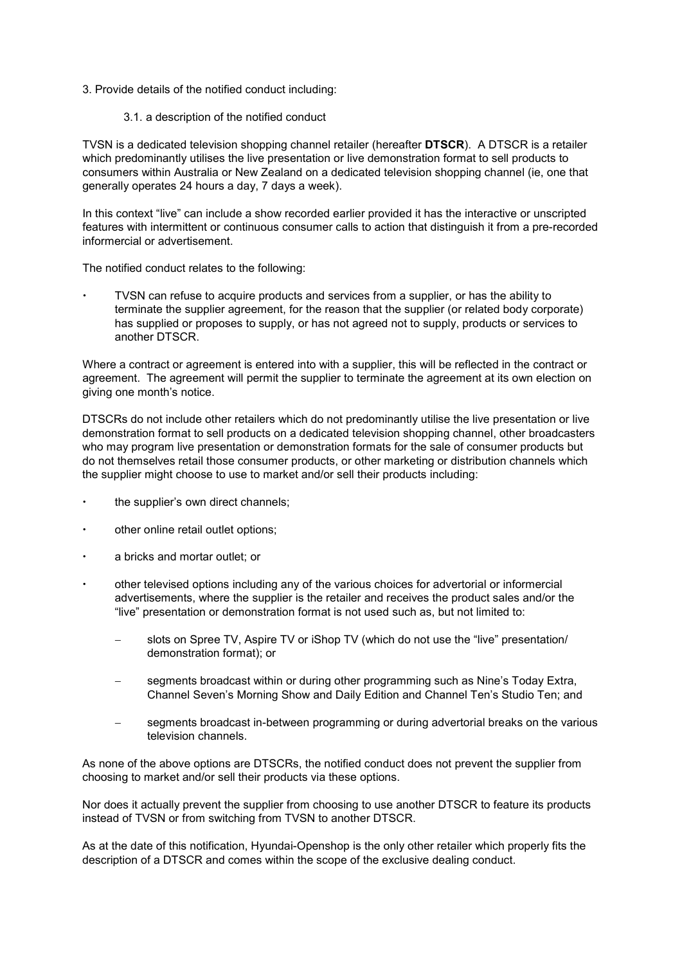- 3. Provide details of the notified conduct including:
	- 3.1. a description of the notified conduct

TVSN is a dedicated television shopping channel retailer (hereafter **DTSCR**). A DTSCR is a retailer which predominantly utilises the live presentation or live demonstration format to sell products to consumers within Australia or New Zealand on a dedicated television shopping channel (ie, one that generally operates 24 hours a day, 7 days a week).

In this context "live" can include a show recorded earlier provided it has the interactive or unscripted features with intermittent or continuous consumer calls to action that distinguish it from a pre-recorded informercial or advertisement.

The notified conduct relates to the following:

 TVSN can refuse to acquire products and services from a supplier, or has the ability to terminate the supplier agreement, for the reason that the supplier (or related body corporate) has supplied or proposes to supply, or has not agreed not to supply, products or services to another DTSCR.

Where a contract or agreement is entered into with a supplier, this will be reflected in the contract or agreement. The agreement will permit the supplier to terminate the agreement at its own election on giving one month's notice.

DTSCRs do not include other retailers which do not predominantly utilise the live presentation or live demonstration format to sell products on a dedicated television shopping channel, other broadcasters who may program live presentation or demonstration formats for the sale of consumer products but do not themselves retail those consumer products, or other marketing or distribution channels which the supplier might choose to use to market and/or sell their products including:

- the supplier's own direct channels;
- other online retail outlet options;
- a bricks and mortar outlet; or
- other televised options including any of the various choices for advertorial or informercial advertisements, where the supplier is the retailer and receives the product sales and/or the "live" presentation or demonstration format is not used such as, but not limited to:
	- slots on Spree TV, Aspire TV or iShop TV (which do not use the "live" presentation/ demonstration format); or
	- segments broadcast within or during other programming such as Nine's Today Extra, Channel Seven's Morning Show and Daily Edition and Channel Ten's Studio Ten; and
	- − segments broadcast in-between programming or during advertorial breaks on the various television channels.

As none of the above options are DTSCRs, the notified conduct does not prevent the supplier from choosing to market and/or sell their products via these options.

Nor does it actually prevent the supplier from choosing to use another DTSCR to feature its products instead of TVSN or from switching from TVSN to another DTSCR.

As at the date of this notification, Hyundai-Openshop is the only other retailer which properly fits the description of a DTSCR and comes within the scope of the exclusive dealing conduct.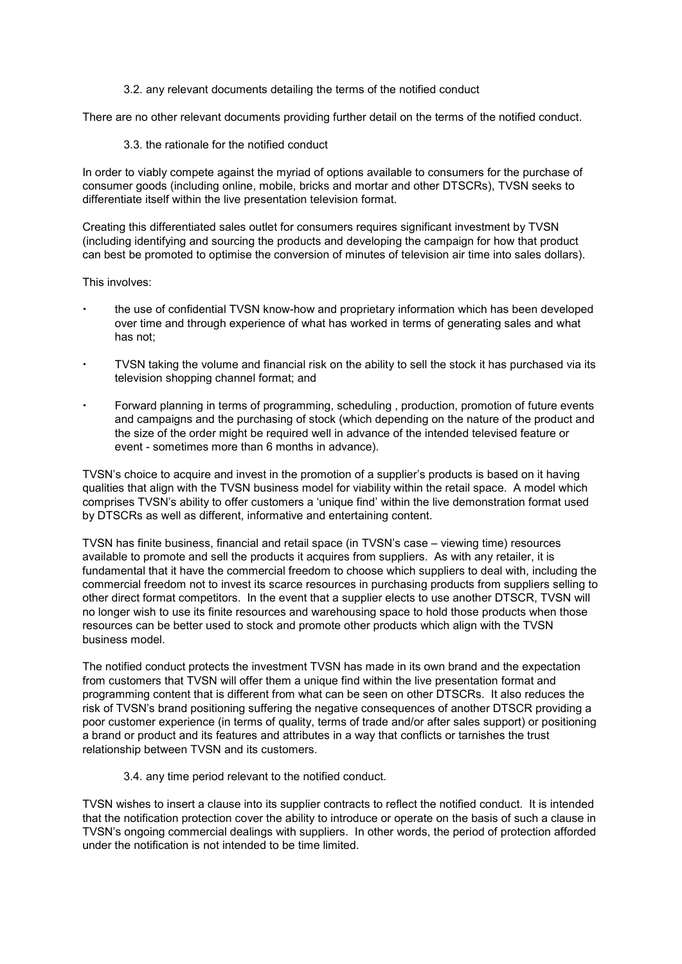3.2. any relevant documents detailing the terms of the notified conduct

There are no other relevant documents providing further detail on the terms of the notified conduct.

3.3. the rationale for the notified conduct

In order to viably compete against the myriad of options available to consumers for the purchase of consumer goods (including online, mobile, bricks and mortar and other DTSCRs), TVSN seeks to differentiate itself within the live presentation television format.

Creating this differentiated sales outlet for consumers requires significant investment by TVSN (including identifying and sourcing the products and developing the campaign for how that product can best be promoted to optimise the conversion of minutes of television air time into sales dollars).

This involves:

- the use of confidential TVSN know-how and proprietary information which has been developed over time and through experience of what has worked in terms of generating sales and what has not;
- TVSN taking the volume and financial risk on the ability to sell the stock it has purchased via its television shopping channel format; and
- Forward planning in terms of programming, scheduling , production, promotion of future events and campaigns and the purchasing of stock (which depending on the nature of the product and the size of the order might be required well in advance of the intended televised feature or event - sometimes more than 6 months in advance).

TVSN's choice to acquire and invest in the promotion of a supplier's products is based on it having qualities that align with the TVSN business model for viability within the retail space. A model which comprises TVSN's ability to offer customers a 'unique find' within the live demonstration format used by DTSCRs as well as different, informative and entertaining content.

TVSN has finite business, financial and retail space (in TVSN's case – viewing time) resources available to promote and sell the products it acquires from suppliers. As with any retailer, it is fundamental that it have the commercial freedom to choose which suppliers to deal with, including the commercial freedom not to invest its scarce resources in purchasing products from suppliers selling to other direct format competitors. In the event that a supplier elects to use another DTSCR, TVSN will no longer wish to use its finite resources and warehousing space to hold those products when those resources can be better used to stock and promote other products which align with the TVSN business model.

The notified conduct protects the investment TVSN has made in its own brand and the expectation from customers that TVSN will offer them a unique find within the live presentation format and programming content that is different from what can be seen on other DTSCRs. It also reduces the risk of TVSN's brand positioning suffering the negative consequences of another DTSCR providing a poor customer experience (in terms of quality, terms of trade and/or after sales support) or positioning a brand or product and its features and attributes in a way that conflicts or tarnishes the trust relationship between TVSN and its customers.

3.4. any time period relevant to the notified conduct.

TVSN wishes to insert a clause into its supplier contracts to reflect the notified conduct. It is intended that the notification protection cover the ability to introduce or operate on the basis of such a clause in TVSN's ongoing commercial dealings with suppliers. In other words, the period of protection afforded under the notification is not intended to be time limited.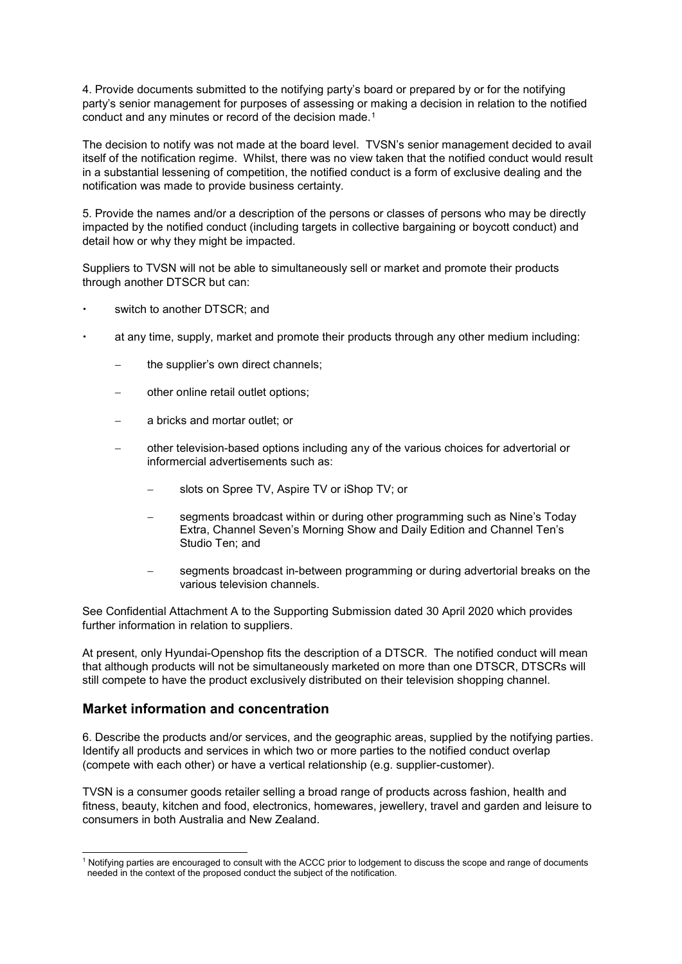4. Provide documents submitted to the notifying party's board or prepared by or for the notifying party's senior management for purposes of assessing or making a decision in relation to the notified conduct and any minutes or record of the decision made.[1](#page-4-0)

The decision to notify was not made at the board level. TVSN's senior management decided to avail itself of the notification regime. Whilst, there was no view taken that the notified conduct would result in a substantial lessening of competition, the notified conduct is a form of exclusive dealing and the notification was made to provide business certainty.

5. Provide the names and/or a description of the persons or classes of persons who may be directly impacted by the notified conduct (including targets in collective bargaining or boycott conduct) and detail how or why they might be impacted.

Suppliers to TVSN will not be able to simultaneously sell or market and promote their products through another DTSCR but can:

- switch to another DTSCR; and
- at any time, supply, market and promote their products through any other medium including:
	- the supplier's own direct channels;
	- other online retail outlet options;
	- a bricks and mortar outlet; or
	- − other television-based options including any of the various choices for advertorial or informercial advertisements such as:
		- slots on Spree TV, Aspire TV or iShop TV; or
		- segments broadcast within or during other programming such as Nine's Today Extra, Channel Seven's Morning Show and Daily Edition and Channel Ten's Studio Ten; and
		- segments broadcast in-between programming or during advertorial breaks on the various television channels.

See Confidential Attachment A to the Supporting Submission dated 30 April 2020 which provides further information in relation to suppliers.

At present, only Hyundai-Openshop fits the description of a DTSCR. The notified conduct will mean that although products will not be simultaneously marketed on more than one DTSCR, DTSCRs will still compete to have the product exclusively distributed on their television shopping channel.

### **Market information and concentration**

6. Describe the products and/or services, and the geographic areas, supplied by the notifying parties. Identify all products and services in which two or more parties to the notified conduct overlap (compete with each other) or have a vertical relationship (e.g. supplier-customer).

TVSN is a consumer goods retailer selling a broad range of products across fashion, health and fitness, beauty, kitchen and food, electronics, homewares, jewellery, travel and garden and leisure to consumers in both Australia and New Zealand.

<span id="page-4-0"></span> <sup>1</sup> Notifying parties are encouraged to consult with the ACCC prior to lodgement to discuss the scope and range of documents needed in the context of the proposed conduct the subject of the notification.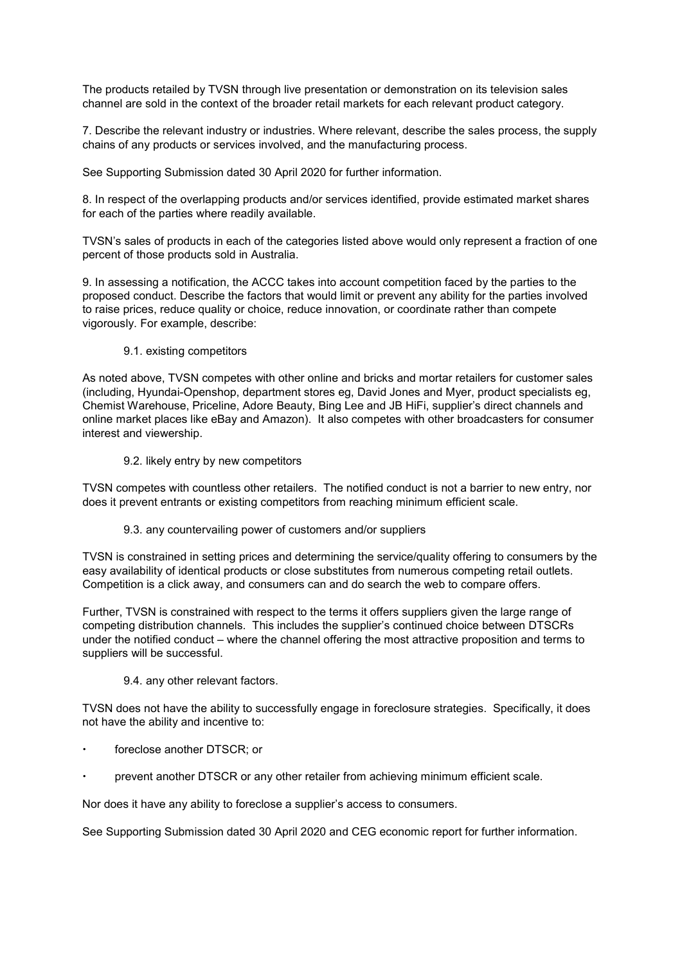The products retailed by TVSN through live presentation or demonstration on its television sales channel are sold in the context of the broader retail markets for each relevant product category.

7. Describe the relevant industry or industries. Where relevant, describe the sales process, the supply chains of any products or services involved, and the manufacturing process.

See Supporting Submission dated 30 April 2020 for further information.

8. In respect of the overlapping products and/or services identified, provide estimated market shares for each of the parties where readily available.

TVSN's sales of products in each of the categories listed above would only represent a fraction of one percent of those products sold in Australia.

9. In assessing a notification, the ACCC takes into account competition faced by the parties to the proposed conduct. Describe the factors that would limit or prevent any ability for the parties involved to raise prices, reduce quality or choice, reduce innovation, or coordinate rather than compete vigorously. For example, describe:

9.1. existing competitors

As noted above, TVSN competes with other online and bricks and mortar retailers for customer sales (including, Hyundai-Openshop, department stores eg, David Jones and Myer, product specialists eg, Chemist Warehouse, Priceline, Adore Beauty, Bing Lee and JB HiFi, supplier's direct channels and online market places like eBay and Amazon). It also competes with other broadcasters for consumer interest and viewership.

9.2. likely entry by new competitors

TVSN competes with countless other retailers. The notified conduct is not a barrier to new entry, nor does it prevent entrants or existing competitors from reaching minimum efficient scale.

#### 9.3. any countervailing power of customers and/or suppliers

TVSN is constrained in setting prices and determining the service/quality offering to consumers by the easy availability of identical products or close substitutes from numerous competing retail outlets. Competition is a click away, and consumers can and do search the web to compare offers.

Further, TVSN is constrained with respect to the terms it offers suppliers given the large range of competing distribution channels. This includes the supplier's continued choice between DTSCRs under the notified conduct – where the channel offering the most attractive proposition and terms to suppliers will be successful.

#### 9.4. any other relevant factors.

TVSN does not have the ability to successfully engage in foreclosure strategies. Specifically, it does not have the ability and incentive to:

- foreclose another DTSCR; or
- prevent another DTSCR or any other retailer from achieving minimum efficient scale.

Nor does it have any ability to foreclose a supplier's access to consumers.

See Supporting Submission dated 30 April 2020 and CEG economic report for further information.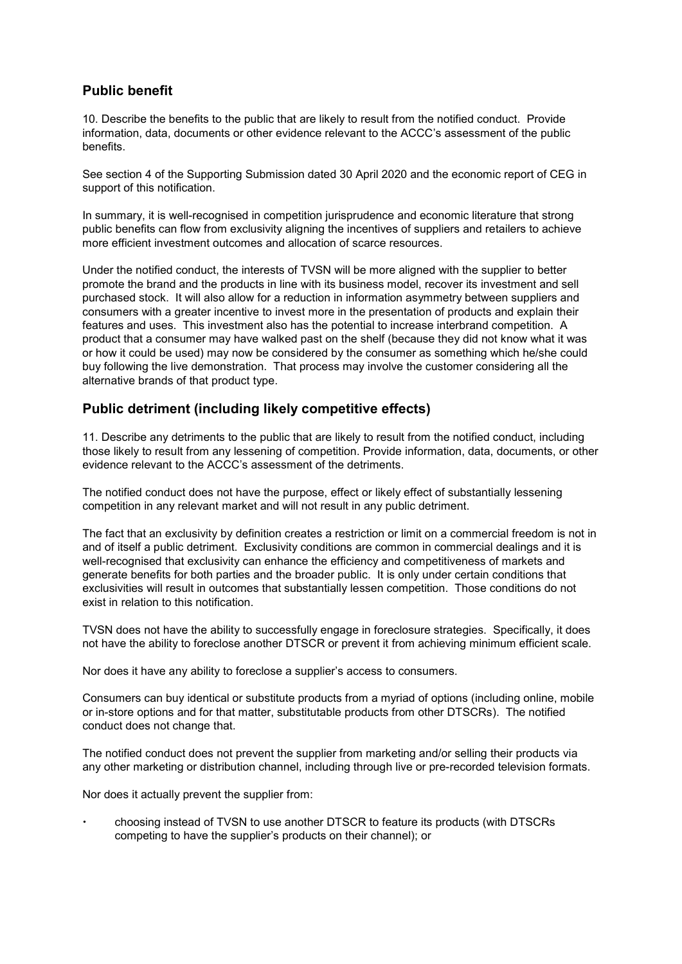# **Public benefit**

10. Describe the benefits to the public that are likely to result from the notified conduct. Provide information, data, documents or other evidence relevant to the ACCC's assessment of the public benefits.

See section 4 of the Supporting Submission dated 30 April 2020 and the economic report of CEG in support of this notification.

In summary, it is well-recognised in competition jurisprudence and economic literature that strong public benefits can flow from exclusivity aligning the incentives of suppliers and retailers to achieve more efficient investment outcomes and allocation of scarce resources.

Under the notified conduct, the interests of TVSN will be more aligned with the supplier to better promote the brand and the products in line with its business model, recover its investment and sell purchased stock. It will also allow for a reduction in information asymmetry between suppliers and consumers with a greater incentive to invest more in the presentation of products and explain their features and uses. This investment also has the potential to increase interbrand competition. A product that a consumer may have walked past on the shelf (because they did not know what it was or how it could be used) may now be considered by the consumer as something which he/she could buy following the live demonstration. That process may involve the customer considering all the alternative brands of that product type.

# **Public detriment (including likely competitive effects)**

11. Describe any detriments to the public that are likely to result from the notified conduct, including those likely to result from any lessening of competition. Provide information, data, documents, or other evidence relevant to the ACCC's assessment of the detriments.

The notified conduct does not have the purpose, effect or likely effect of substantially lessening competition in any relevant market and will not result in any public detriment.

The fact that an exclusivity by definition creates a restriction or limit on a commercial freedom is not in and of itself a public detriment. Exclusivity conditions are common in commercial dealings and it is well-recognised that exclusivity can enhance the efficiency and competitiveness of markets and generate benefits for both parties and the broader public. It is only under certain conditions that exclusivities will result in outcomes that substantially lessen competition. Those conditions do not exist in relation to this notification.

TVSN does not have the ability to successfully engage in foreclosure strategies. Specifically, it does not have the ability to foreclose another DTSCR or prevent it from achieving minimum efficient scale.

Nor does it have any ability to foreclose a supplier's access to consumers.

Consumers can buy identical or substitute products from a myriad of options (including online, mobile or in-store options and for that matter, substitutable products from other DTSCRs). The notified conduct does not change that.

The notified conduct does not prevent the supplier from marketing and/or selling their products via any other marketing or distribution channel, including through live or pre-recorded television formats.

Nor does it actually prevent the supplier from:

 choosing instead of TVSN to use another DTSCR to feature its products (with DTSCRs competing to have the supplier's products on their channel); or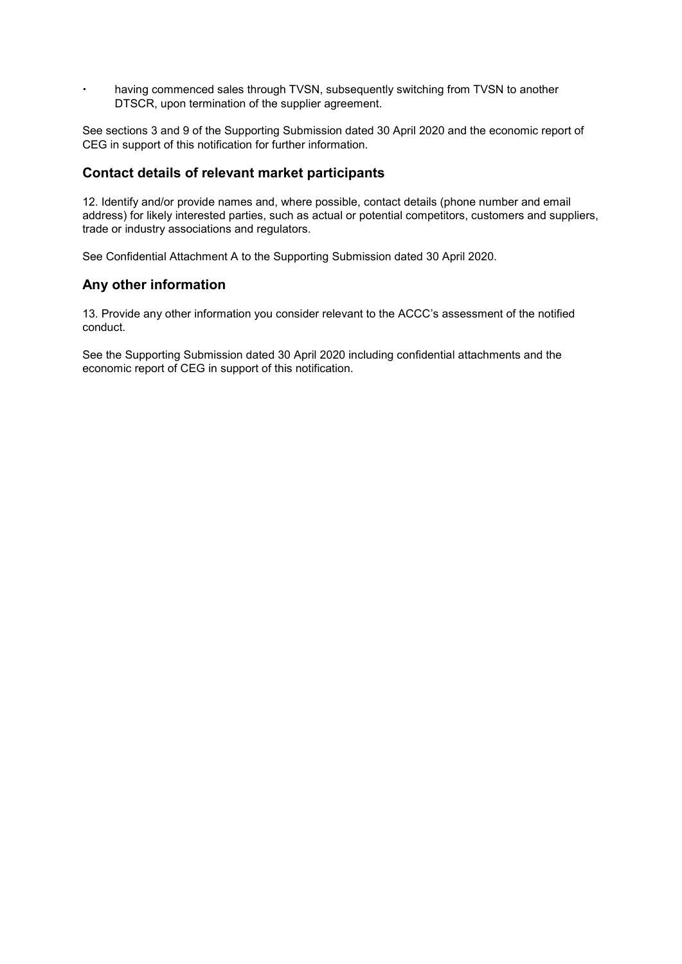having commenced sales through TVSN, subsequently switching from TVSN to another DTSCR, upon termination of the supplier agreement.

See sections 3 and 9 of the Supporting Submission dated 30 April 2020 and the economic report of CEG in support of this notification for further information.

## **Contact details of relevant market participants**

12. Identify and/or provide names and, where possible, contact details (phone number and email address) for likely interested parties, such as actual or potential competitors, customers and suppliers, trade or industry associations and regulators.

See Confidential Attachment A to the Supporting Submission dated 30 April 2020.

### **Any other information**

13. Provide any other information you consider relevant to the ACCC's assessment of the notified conduct.

See the Supporting Submission dated 30 April 2020 including confidential attachments and the economic report of CEG in support of this notification.